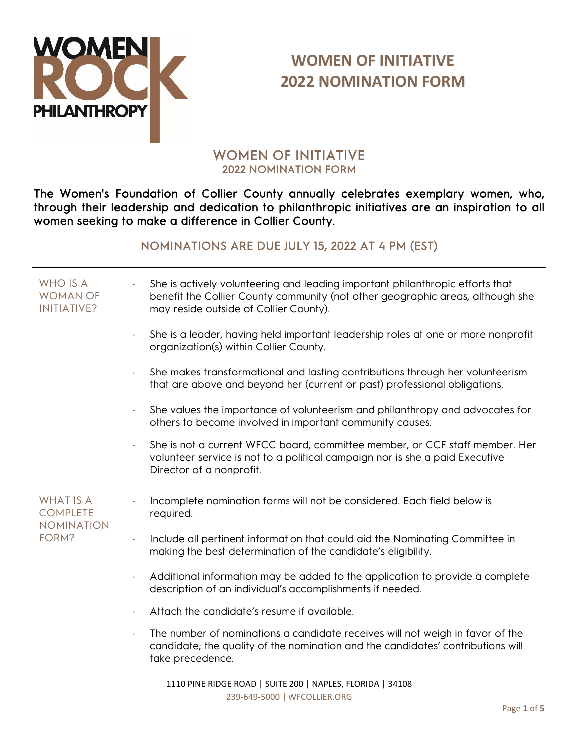

# WOMEN OF INITIATIVE 2022 NOMINATION FORM

The Women's Foundation of Collier County annually celebrates exemplary women, who, through their leadership and dedication to philanthropic initiatives are an inspiration to all women seeking to make a difference in Collier County.

#### NOMINATIONS ARE DUE JULY 15, 2022 AT 4 PM (EST)

| WHO IS A<br><b>WOMAN OF</b><br>INITIATIVE?               | She is actively volunteering and leading important philanthropic efforts that<br>benefit the Collier County community (not other geographic areas, although she<br>may reside outside of Collier County). |
|----------------------------------------------------------|-----------------------------------------------------------------------------------------------------------------------------------------------------------------------------------------------------------|
|                                                          | She is a leader, having held important leadership roles at one or more nonprofit<br>organization(s) within Collier County.                                                                                |
|                                                          | She makes transformational and lasting contributions through her volunteerism<br>that are above and beyond her (current or past) professional obligations.                                                |
|                                                          | She values the importance of volunteerism and philanthropy and advocates for<br>others to become involved in important community causes.                                                                  |
|                                                          | She is not a current WFCC board, committee member, or CCF staff member. Her<br>volunteer service is not to a political campaign nor is she a paid Executive<br>Director of a nonprofit.                   |
| <b>WHAT IS A</b><br><b>COMPLETE</b><br><b>NOMINATION</b> | Incomplete nomination forms will not be considered. Each field below is<br>required.                                                                                                                      |
| FORM?                                                    | Include all pertinent information that could aid the Nominating Committee in<br>making the best determination of the candidate's eligibility.                                                             |
|                                                          | Additional information may be added to the application to provide a complete<br>$\bullet$<br>description of an individual's accomplishments if needed.                                                    |
|                                                          | Attach the candidate's resume if available.                                                                                                                                                               |
|                                                          | The number of nominations a candidate receives will not weigh in favor of the<br>candidate; the quality of the nomination and the candidates' contributions will<br>take precedence.                      |
|                                                          | 1110 BINE BIDCE BOAD LCHITE 200 LNABLES FLORIDA L24100                                                                                                                                                    |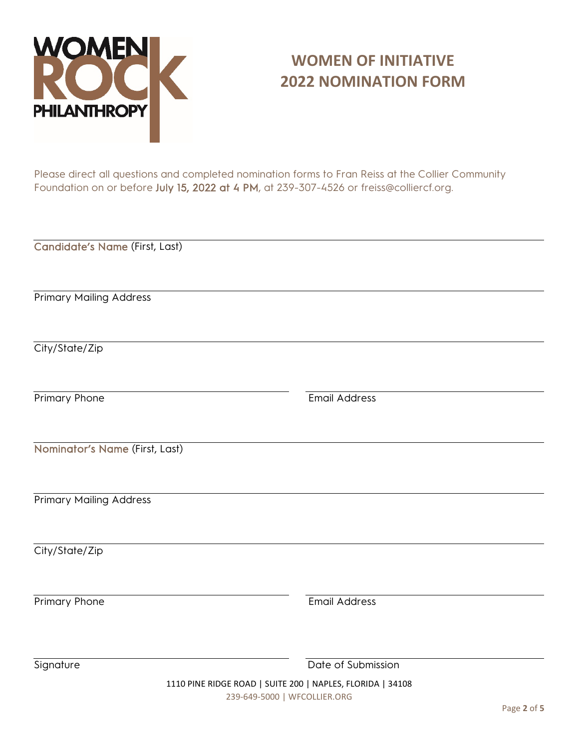

Please direct all questions and completed nomination forms to Fran Reiss at the Collier Community Foundation on or before July 15, 2022 at 4 PM, at 239-307-4526 or freiss@colliercf.org.

Candidate's Name (First, Last)

Primary Mailing Address

City/State/Zip

Primary Phone **Email Address** 

Nominator's Name (First, Last)

Primary Mailing Address

City/State/Zip

Primary Phone **Email Address** 

Signature **Date of Submission** 

1110 PINE RIDGE ROAD | SUITE 200 | NAPLES, FLORIDA | 34108 239-649-5000 | WFCOLLIER.ORG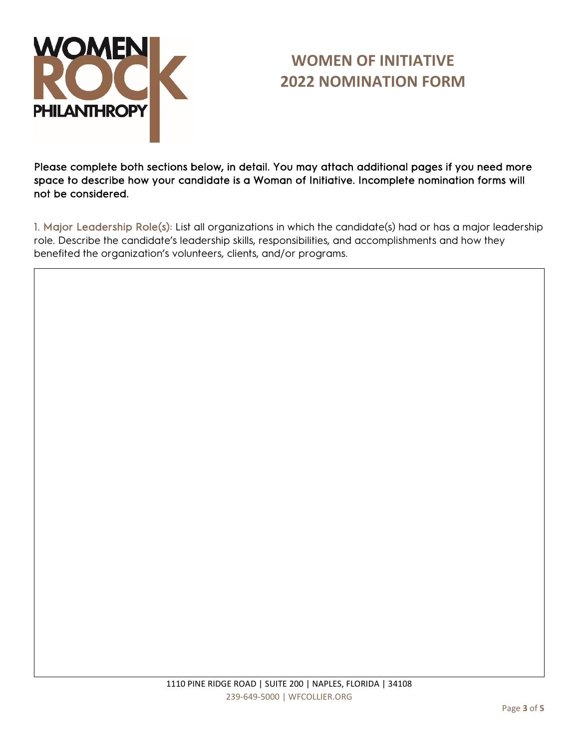

Please complete both sections below, in detail. You may attach additional pages if you need more space to describe how your candidate is a Woman of Initiative. Incomplete nomination forms will not be considered.

1. Major Leadership Role(s): List all organizations in which the candidate(s) had or has a major leadership role. Describe the candidate's leadership skills, responsibilities, and accomplishments and how they benefited the organization's volunteers, clients, and/or programs.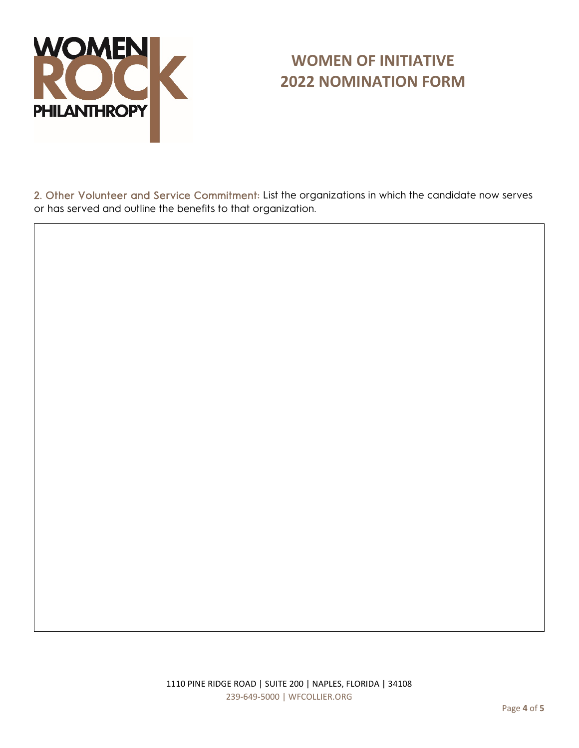

2. Other Volunteer and Service Commitment: List the organizations in which the candidate now serves or has served and outline the benefits to that organization.